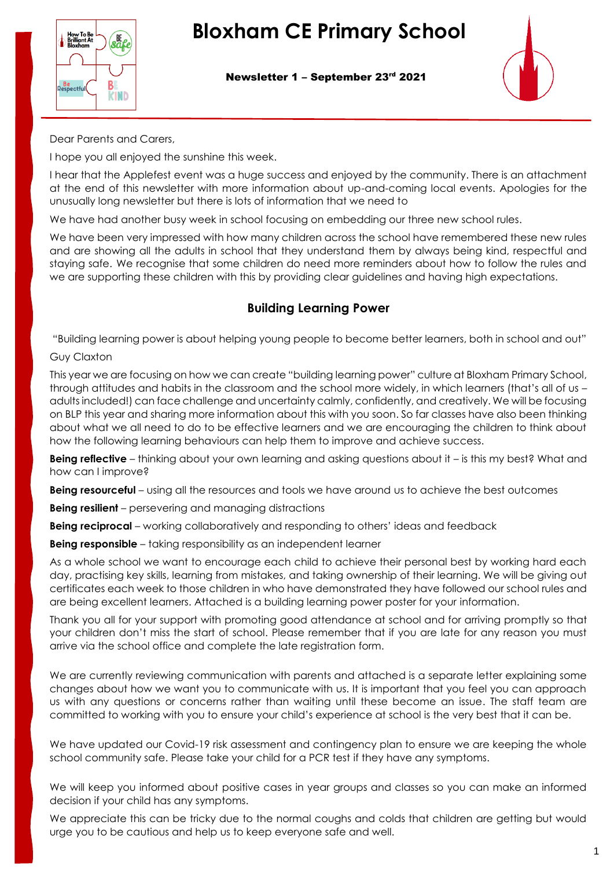

Newsletter 1 – September 23rd 2021



Dear Parents and Carers,

I hope you all enjoyed the sunshine this week.

I hear that the Applefest event was a huge success and enjoyed by the community. There is an attachment at the end of this newsletter with more information about up-and-coming local events. Apologies for the unusually long newsletter but there is lots of information that we need to

We have had another busy week in school focusing on embedding our three new school rules.

We have been very impressed with how many children across the school have remembered these new rules and are showing all the adults in school that they understand them by always being kind, respectful and staying safe. We recognise that some children do need more reminders about how to follow the rules and we are supporting these children with this by providing clear guidelines and having high expectations.

#### **Building Learning Power**

"Building learning power is about helping young people to become better learners, both in school and out"

#### Guy Claxton

This year we are focusing on how we can create "building learning power" culture at Bloxham Primary School, through attitudes and habits in the classroom and the school more widely, in which learners (that's all of us – adults included!) can face challenge and uncertainty calmly, confidently, and creatively. We will be focusing on BLP this year and sharing more information about this with you soon. So far classes have also been thinking about what we all need to do to be effective learners and we are encouraging the children to think about how the following learning behaviours can help them to improve and achieve success.

**Being reflective** – thinking about your own learning and asking questions about it – is this my best? What and how can I improve?

**Being resourceful** – using all the resources and tools we have around us to achieve the best outcomes

**Being resilient** – persevering and managing distractions

**Being reciprocal** – working collaboratively and responding to others' ideas and feedback

**Being responsible** – taking responsibility as an independent learner

As a whole school we want to encourage each child to achieve their personal best by working hard each day, practising key skills, learning from mistakes, and taking ownership of their learning. We will be giving out certificates each week to those children in who have demonstrated they have followed our school rules and are being excellent learners. Attached is a building learning power poster for your information.

Thank you all for your support with promoting good attendance at school and for arriving promptly so that your children don't miss the start of school. Please remember that if you are late for any reason you must arrive via the school office and complete the late registration form.

We are currently reviewing communication with parents and attached is a separate letter explaining some changes about how we want you to communicate with us. It is important that you feel you can approach us with any questions or concerns rather than waiting until these become an issue. The staff team are committed to working with you to ensure your child's experience at school is the very best that it can be.

We have updated our Covid-19 risk assessment and contingency plan to ensure we are keeping the whole school community safe. Please take your child for a PCR test if they have any symptoms.

We will keep you informed about positive cases in year groups and classes so you can make an informed decision if your child has any symptoms.

We appreciate this can be tricky due to the normal coughs and colds that children are getting but would urge you to be cautious and help us to keep everyone safe and well.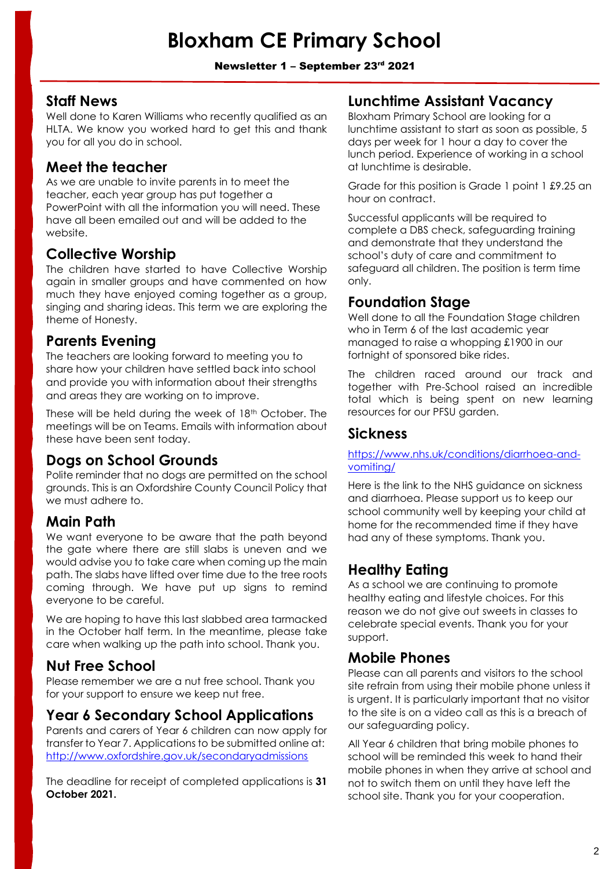#### Newsletter 1 - September 23rd 2021

#### **Staff News**

Well done to Karen Williams who recently qualified as an HLTA. We know you worked hard to get this and thank you for all you do in school.

#### **Meet the teacher**

As we are unable to invite parents in to meet the teacher, each year group has put together a PowerPoint with all the information you will need. These have all been emailed out and will be added to the website.

#### **Collective Worship**

The children have started to have Collective Worship again in smaller groups and have commented on how much they have enjoyed coming together as a group, singing and sharing ideas. This term we are exploring the theme of Honesty.

#### **Parents Evening**

The teachers are looking forward to meeting you to share how your children have settled back into school and provide you with information about their strengths and areas they are working on to improve.

These will be held during the week of 18th October. The meetings will be on Teams. Emails with information about these have been sent today.

### **Dogs on School Grounds**

Polite reminder that no dogs are permitted on the school grounds. This is an Oxfordshire County Council Policy that we must adhere to.

#### **Main Path**

We want everyone to be aware that the path beyond the gate where there are still slabs is uneven and we would advise you to take care when coming up the main path. The slabs have lifted over time due to the tree roots coming through. We have put up signs to remind everyone to be careful.

We are hoping to have this last slabbed area tarmacked in the October half term. In the meantime, please take care when walking up the path into school. Thank you.

#### **Nut Free School**

Please remember we are a nut free school. Thank you for your support to ensure we keep nut free.

### **Year 6 Secondary School Applications**

Parents and carers of Year 6 children can now apply for transfer to Year 7. Applications to be submitted online at: <http://www.oxfordshire.gov.uk/secondaryadmissions>

The deadline for receipt of completed applications is **31 October 2021.**

#### **[Lunchtime](https://bloxhamprimary.co.uk/vacancies/lunchtime-assistant-vacancy-0) Assistant Vacancy**

Bloxham Primary School are looking for a lunchtime assistant to start as soon as possible, 5 days per week for 1 hour a day to cover the lunch period. Experience of working in a school at lunchtime is desirable.

Grade for this position is Grade 1 point 1 £9.25 an hour on contract.

Successful applicants will be required to complete a DBS check, safeguarding training and demonstrate that they understand the school's duty of care and commitment to safeguard all children. The position is term time only.

#### **Foundation Stage**

Well done to all the Foundation Stage children who in Term 6 of the last academic year managed to raise a whopping £1900 in our fortnight of sponsored bike rides.

The children raced around our track and together with Pre-School raised an incredible total which is being spent on new learning resources for our PFSU garden.

#### **Sickness**

[https://www.nhs.uk/conditions/diarrhoea-and](https://www.nhs.uk/conditions/diarrhoea-and-vomiting/)[vomiting/](https://www.nhs.uk/conditions/diarrhoea-and-vomiting/)

Here is the link to the NHS guidance on sickness and diarrhoea. Please support us to keep our school community well by keeping your child at home for the recommended time if they have had any of these symptoms. Thank you.

### **Healthy Eating**

As a school we are continuing to promote healthy eating and lifestyle choices. For this reason we do not give out sweets in classes to celebrate special events. Thank you for your support.

#### **Mobile Phones**

Please can all parents and visitors to the school site refrain from using their mobile phone unless it is urgent. It is particularly important that no visitor to the site is on a video call as this is a breach of our safeguarding policy.

All Year 6 children that bring mobile phones to school will be reminded this week to hand their mobile phones in when they arrive at school and not to switch them on until they have left the school site. Thank you for your cooperation.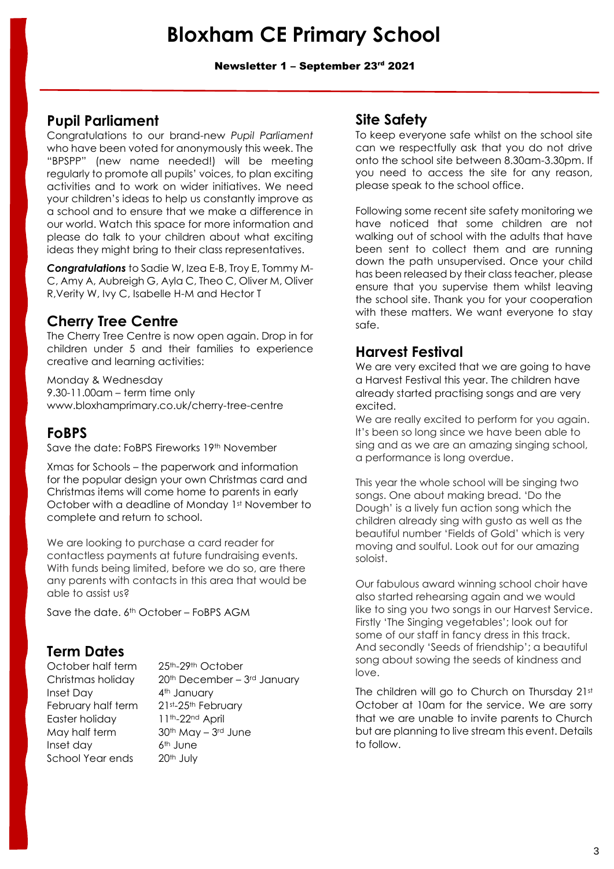Newsletter 1 - September 23rd 2021

#### **Pupil Parliament**

Congratulations to our brand-new *Pupil Parliament* who have been voted for anonymously this week. The "BPSPP" (new name needed!) will be meeting regularly to promote all pupils' voices, to plan exciting activities and to work on wider initiatives. We need your children's ideas to help us constantly improve as a school and to ensure that we make a difference in our world. Watch this space for more information and please do talk to your children about what exciting ideas they might bring to their class representatives.

*Congratulations* to Sadie W, Izea E-B, Troy E, Tommy M-C, Amy A, Aubreigh G, Ayla C, Theo C, Oliver M, Oliver R,Verity W, Ivy C, Isabelle H-M and Hector T

#### **Cherry Tree Centre**

The Cherry Tree Centre is now open again. Drop in for children under 5 and their families to experience creative and learning activities:

Monday & Wednesday 9.30-11.00am – term time only www.bloxhamprimary.co.uk/cherry-tree-centre

#### **FoBPS**

Save the date: FoBPS Fireworks 19th November

Xmas for Schools – the paperwork and information for the popular design your own Christmas card and Christmas items will come home to parents in early October with a deadline of Monday 1st November to complete and return to school.

We are looking to purchase a card reader for contactless payments at future fundraising events. With funds being limited, before we do so, are there any parents with contacts in this area that would be able to assist us?

Save the date. 6th October – FoBPS AGM

### **Term Dates**

Inset Day 4<sup>th</sup> January February half term 21st-25th February Easter holiday 11th-22nd April May half term  $30<sup>th</sup>$  May –  $3<sup>rd</sup>$  June Inset day 6<sup>th</sup> June School Year ends 20<sup>th</sup> July

October half term 25<sup>th</sup>-29<sup>th</sup> October Christmas holiday 20<sup>th</sup> December - 3<sup>rd</sup> January

#### **Site Safety**

To keep everyone safe whilst on the school site can we respectfully ask that you do not drive onto the school site between 8.30am-3.30pm. If you need to access the site for any reason, please speak to the school office.

Following some recent site safety monitoring we have noticed that some children are not walking out of school with the adults that have been sent to collect them and are running down the path unsupervised. Once your child has been released by their class teacher, please ensure that you supervise them whilst leaving the school site. Thank you for your cooperation with these matters. We want everyone to stay safe.

### **Harvest Festival**

We are very excited that we are going to have a Harvest Festival this year. The children have already started practising songs and are very excited.

We are really excited to perform for you again. It's been so long since we have been able to sing and as we are an amazing singing school, a performance is long overdue.

This year the whole school will be singing two songs. One about making bread. 'Do the Dough' is a lively fun action song which the children already sing with gusto as well as the beautiful number 'Fields of Gold' which is very moving and soulful. Look out for our amazing soloist.

Our fabulous award winning school choir have also started rehearsing again and we would like to sing you two songs in our Harvest Service. Firstly 'The Singing vegetables'; look out for some of our staff in fancy dress in this track. And secondly 'Seeds of friendship'; a beautiful song about sowing the seeds of kindness and love.

The children will go to Church on Thursday 21st October at 10am for the service. We are sorry that we are unable to invite parents to Church but are planning to live stream this event. Details to follow.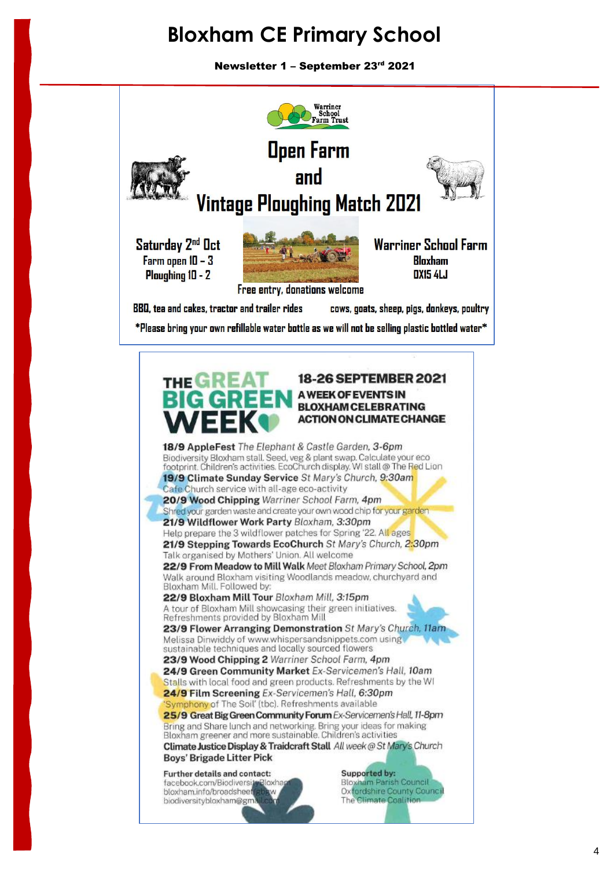Newsletter 1 – September 23rd 2021